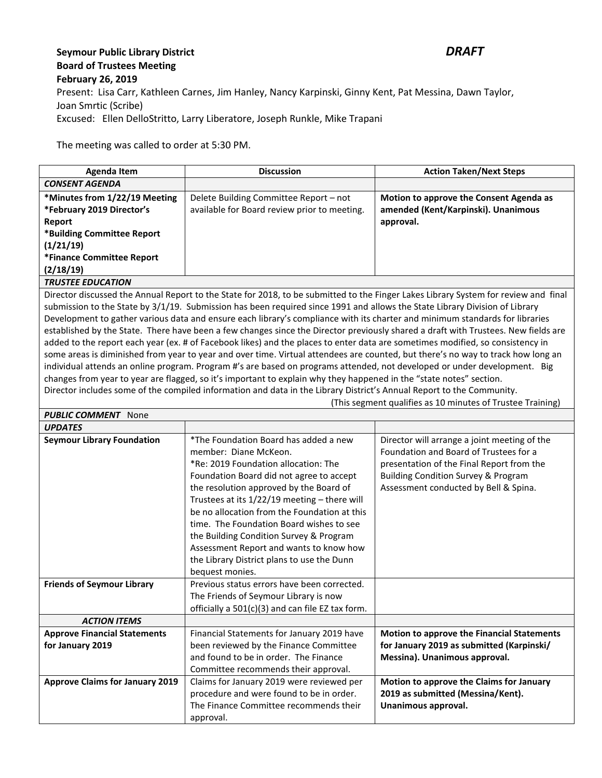## **Seymour Public Library District** *DRAFT* **Board of Trustees Meeting February 26, 2019** Present: Lisa Carr, Kathleen Carnes, Jim Hanley, Nancy Karpinski, Ginny Kent, Pat Messina, Dawn Taylor, Joan Smrtic (Scribe) Excused: Ellen DelloStritto, Larry Liberatore, Joseph Runkle, Mike Trapani

The meeting was called to order at 5:30 PM.

| Agenda Item                   | <b>Discussion</b>                            | <b>Action Taken/Next Steps</b>          |
|-------------------------------|----------------------------------------------|-----------------------------------------|
| <b>CONSENT AGENDA</b>         |                                              |                                         |
| *Minutes from 1/22/19 Meeting | Delete Building Committee Report - not       | Motion to approve the Consent Agenda as |
| *February 2019 Director's     | available for Board review prior to meeting. | amended (Kent/Karpinski). Unanimous     |
| Report                        |                                              | approval.                               |
| *Building Committee Report    |                                              |                                         |
| (1/21/19)                     |                                              |                                         |
| *Finance Committee Report     |                                              |                                         |
| (2/18/19)                     |                                              |                                         |
| <b>TRUSTEE EDUCATION</b>      |                                              |                                         |

Director discussed the Annual Report to the State for 2018, to be submitted to the Finger Lakes Library System for review and final submission to the State by 3/1/19. Submission has been required since 1991 and allows the State Library Division of Library Development to gather various data and ensure each library's compliance with its charter and minimum standards for libraries established by the State. There have been a few changes since the Director previously shared a draft with Trustees. New fields are added to the report each year (ex. # of Facebook likes) and the places to enter data are sometimes modified, so consistency in some areas is diminished from year to year and over time. Virtual attendees are counted, but there's no way to track how long an individual attends an online program. Program #'s are based on programs attended, not developed or under development. Big changes from year to year are flagged, so it's important to explain why they happened in the "state notes" section. Director includes some of the compiled information and data in the Library District's Annual Report to the Community.

(This segment qualifies as 10 minutes of Trustee Training)

| <b>PUBLIC COMMENT</b> None             |                                                  |                                                   |  |
|----------------------------------------|--------------------------------------------------|---------------------------------------------------|--|
| <b>UPDATES</b>                         |                                                  |                                                   |  |
| <b>Seymour Library Foundation</b>      | *The Foundation Board has added a new            | Director will arrange a joint meeting of the      |  |
|                                        | member: Diane McKeon.                            | Foundation and Board of Trustees for a            |  |
|                                        | *Re: 2019 Foundation allocation: The             | presentation of the Final Report from the         |  |
|                                        | Foundation Board did not agree to accept         | Building Condition Survey & Program               |  |
|                                        | the resolution approved by the Board of          | Assessment conducted by Bell & Spina.             |  |
|                                        | Trustees at its 1/22/19 meeting - there will     |                                                   |  |
|                                        | be no allocation from the Foundation at this     |                                                   |  |
|                                        | time. The Foundation Board wishes to see         |                                                   |  |
|                                        | the Building Condition Survey & Program          |                                                   |  |
|                                        | Assessment Report and wants to know how          |                                                   |  |
|                                        | the Library District plans to use the Dunn       |                                                   |  |
|                                        | bequest monies.                                  |                                                   |  |
| <b>Friends of Seymour Library</b>      | Previous status errors have been corrected.      |                                                   |  |
|                                        | The Friends of Seymour Library is now            |                                                   |  |
|                                        | officially a 501(c)(3) and can file EZ tax form. |                                                   |  |
| <b>ACTION ITEMS</b>                    |                                                  |                                                   |  |
| <b>Approve Financial Statements</b>    | Financial Statements for January 2019 have       | <b>Motion to approve the Financial Statements</b> |  |
| for January 2019                       | been reviewed by the Finance Committee           | for January 2019 as submitted (Karpinski/         |  |
|                                        | and found to be in order. The Finance            | Messina). Unanimous approval.                     |  |
|                                        | Committee recommends their approval.             |                                                   |  |
| <b>Approve Claims for January 2019</b> | Claims for January 2019 were reviewed per        | Motion to approve the Claims for January          |  |
|                                        | procedure and were found to be in order.         | 2019 as submitted (Messina/Kent).                 |  |
|                                        | The Finance Committee recommends their           | Unanimous approval.                               |  |
|                                        | approval.                                        |                                                   |  |